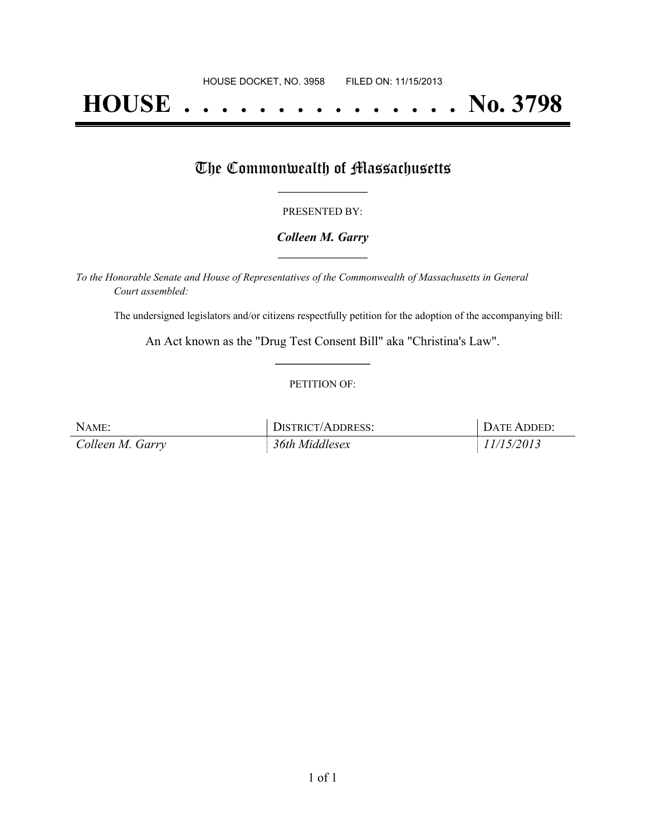# **HOUSE . . . . . . . . . . . . . . . No. 3798**

## The Commonwealth of Massachusetts

#### PRESENTED BY:

#### *Colleen M. Garry* **\_\_\_\_\_\_\_\_\_\_\_\_\_\_\_\_\_**

*To the Honorable Senate and House of Representatives of the Commonwealth of Massachusetts in General Court assembled:*

The undersigned legislators and/or citizens respectfully petition for the adoption of the accompanying bill:

An Act known as the "Drug Test Consent Bill" aka "Christina's Law". **\_\_\_\_\_\_\_\_\_\_\_\_\_\_\_**

#### PETITION OF:

| NAME:            | DISTRICT/ADDRESS: | DATE ADDED: |
|------------------|-------------------|-------------|
| Colleen M. Garry | 36th Middlesex    | 11/15/2013  |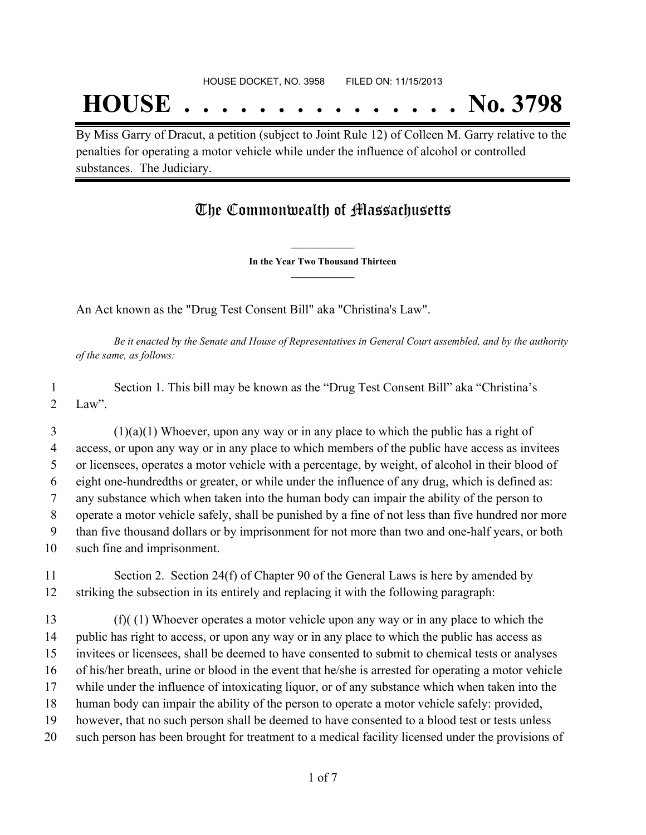## **HOUSE . . . . . . . . . . . . . . . No. 3798**

By Miss Garry of Dracut, a petition (subject to Joint Rule 12) of Colleen M. Garry relative to the penalties for operating a motor vehicle while under the influence of alcohol or controlled substances. The Judiciary.

### The Commonwealth of Massachusetts

**\_\_\_\_\_\_\_\_\_\_\_\_\_\_\_ In the Year Two Thousand Thirteen \_\_\_\_\_\_\_\_\_\_\_\_\_\_\_**

An Act known as the "Drug Test Consent Bill" aka "Christina's Law".

Be it enacted by the Senate and House of Representatives in General Court assembled, and by the authority *of the same, as follows:*

 Section 1. This bill may be known as the "Drug Test Consent Bill" aka "Christina's 2 Law".

 (1)(a)(1) Whoever, upon any way or in any place to which the public has a right of access, or upon any way or in any place to which members of the public have access as invitees or licensees, operates a motor vehicle with a percentage, by weight, of alcohol in their blood of eight one-hundredths or greater, or while under the influence of any drug, which is defined as: any substance which when taken into the human body can impair the ability of the person to operate a motor vehicle safely, shall be punished by a fine of not less than five hundred nor more than five thousand dollars or by imprisonment for not more than two and one-half years, or both such fine and imprisonment.

 Section 2. Section 24(f) of Chapter 90 of the General Laws is here by amended by striking the subsection in its entirely and replacing it with the following paragraph:

 (f)( (1) Whoever operates a motor vehicle upon any way or in any place to which the public has right to access, or upon any way or in any place to which the public has access as invitees or licensees, shall be deemed to have consented to submit to chemical tests or analyses of his/her breath, urine or blood in the event that he/she is arrested for operating a motor vehicle while under the influence of intoxicating liquor, or of any substance which when taken into the human body can impair the ability of the person to operate a motor vehicle safely: provided, however, that no such person shall be deemed to have consented to a blood test or tests unless such person has been brought for treatment to a medical facility licensed under the provisions of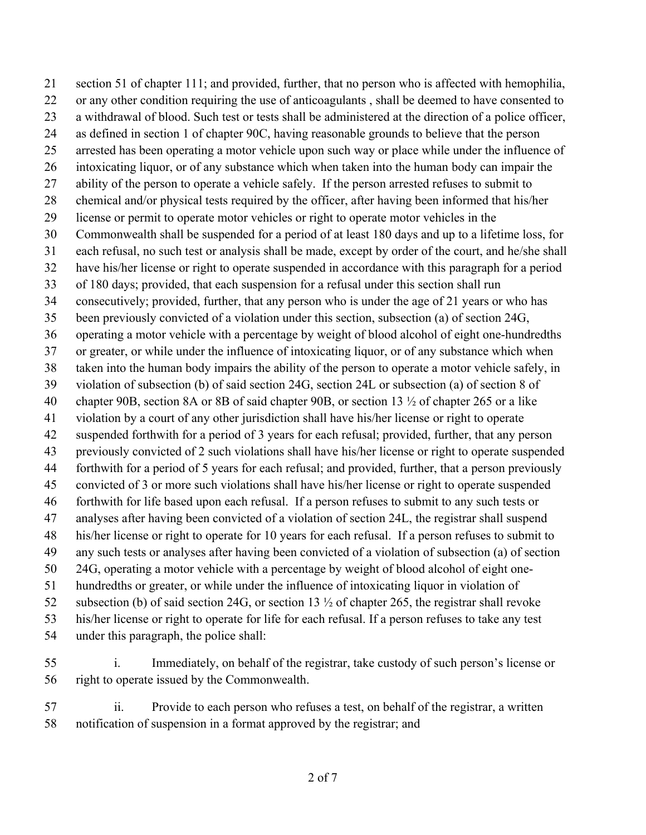section 51 of chapter 111; and provided, further, that no person who is affected with hemophilia, or any other condition requiring the use of anticoagulants , shall be deemed to have consented to a withdrawal of blood. Such test or tests shall be administered at the direction of a police officer, as defined in section 1 of chapter 90C, having reasonable grounds to believe that the person arrested has been operating a motor vehicle upon such way or place while under the influence of intoxicating liquor, or of any substance which when taken into the human body can impair the ability of the person to operate a vehicle safely. If the person arrested refuses to submit to chemical and/or physical tests required by the officer, after having been informed that his/her license or permit to operate motor vehicles or right to operate motor vehicles in the Commonwealth shall be suspended for a period of at least 180 days and up to a lifetime loss, for each refusal, no such test or analysis shall be made, except by order of the court, and he/she shall have his/her license or right to operate suspended in accordance with this paragraph for a period of 180 days; provided, that each suspension for a refusal under this section shall run consecutively; provided, further, that any person who is under the age of 21 years or who has been previously convicted of a violation under this section, subsection (a) of section 24G, operating a motor vehicle with a percentage by weight of blood alcohol of eight one-hundredths or greater, or while under the influence of intoxicating liquor, or of any substance which when taken into the human body impairs the ability of the person to operate a motor vehicle safely, in violation of subsection (b) of said section 24G, section 24L or subsection (a) of section 8 of chapter 90B, section 8A or 8B of said chapter 90B, or section 13 ½ of chapter 265 or a like violation by a court of any other jurisdiction shall have his/her license or right to operate suspended forthwith for a period of 3 years for each refusal; provided, further, that any person previously convicted of 2 such violations shall have his/her license or right to operate suspended forthwith for a period of 5 years for each refusal; and provided, further, that a person previously convicted of 3 or more such violations shall have his/her license or right to operate suspended forthwith for life based upon each refusal. If a person refuses to submit to any such tests or analyses after having been convicted of a violation of section 24L, the registrar shall suspend his/her license or right to operate for 10 years for each refusal. If a person refuses to submit to any such tests or analyses after having been convicted of a violation of subsection (a) of section 24G, operating a motor vehicle with a percentage by weight of blood alcohol of eight one- hundredths or greater, or while under the influence of intoxicating liquor in violation of subsection (b) of said section 24G, or section 13 ½ of chapter 265, the registrar shall revoke his/her license or right to operate for life for each refusal. If a person refuses to take any test under this paragraph, the police shall:

 i. Immediately, on behalf of the registrar, take custody of such person's license or right to operate issued by the Commonwealth.

 ii. Provide to each person who refuses a test, on behalf of the registrar, a written notification of suspension in a format approved by the registrar; and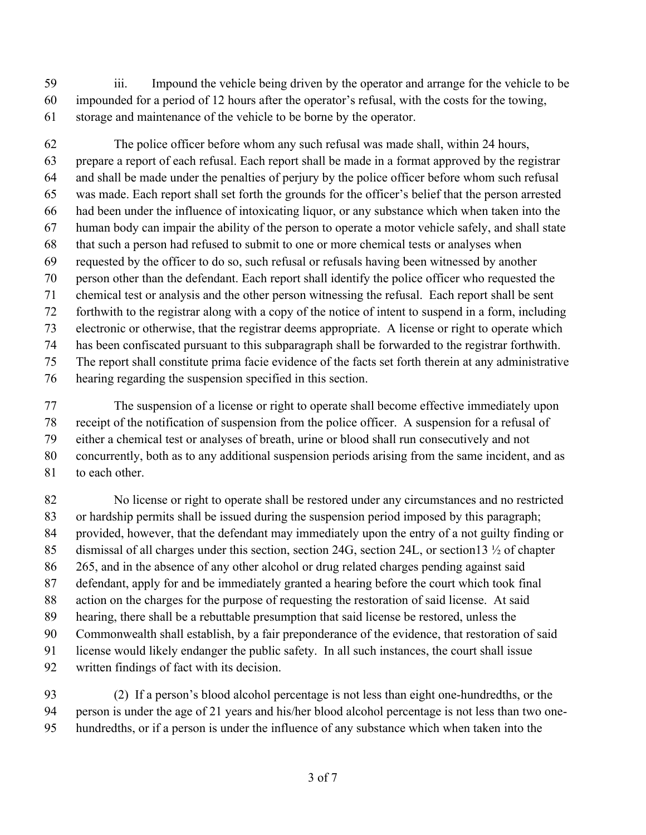iii. Impound the vehicle being driven by the operator and arrange for the vehicle to be impounded for a period of 12 hours after the operator's refusal, with the costs for the towing, storage and maintenance of the vehicle to be borne by the operator.

 The police officer before whom any such refusal was made shall, within 24 hours, prepare a report of each refusal. Each report shall be made in a format approved by the registrar and shall be made under the penalties of perjury by the police officer before whom such refusal was made. Each report shall set forth the grounds for the officer's belief that the person arrested had been under the influence of intoxicating liquor, or any substance which when taken into the human body can impair the ability of the person to operate a motor vehicle safely, and shall state that such a person had refused to submit to one or more chemical tests or analyses when requested by the officer to do so, such refusal or refusals having been witnessed by another person other than the defendant. Each report shall identify the police officer who requested the chemical test or analysis and the other person witnessing the refusal. Each report shall be sent forthwith to the registrar along with a copy of the notice of intent to suspend in a form, including electronic or otherwise, that the registrar deems appropriate. A license or right to operate which has been confiscated pursuant to this subparagraph shall be forwarded to the registrar forthwith. The report shall constitute prima facie evidence of the facts set forth therein at any administrative hearing regarding the suspension specified in this section.

 The suspension of a license or right to operate shall become effective immediately upon receipt of the notification of suspension from the police officer. A suspension for a refusal of either a chemical test or analyses of breath, urine or blood shall run consecutively and not concurrently, both as to any additional suspension periods arising from the same incident, and as to each other.

 No license or right to operate shall be restored under any circumstances and no restricted or hardship permits shall be issued during the suspension period imposed by this paragraph; provided, however, that the defendant may immediately upon the entry of a not guilty finding or 85 dismissal of all charges under this section, section 24G, section 24L, or section 13  $\frac{1}{2}$  of chapter 265, and in the absence of any other alcohol or drug related charges pending against said defendant, apply for and be immediately granted a hearing before the court which took final action on the charges for the purpose of requesting the restoration of said license. At said hearing, there shall be a rebuttable presumption that said license be restored, unless the Commonwealth shall establish, by a fair preponderance of the evidence, that restoration of said license would likely endanger the public safety. In all such instances, the court shall issue written findings of fact with its decision.

 (2) If a person's blood alcohol percentage is not less than eight one-hundredths, or the person is under the age of 21 years and his/her blood alcohol percentage is not less than two one-hundredths, or if a person is under the influence of any substance which when taken into the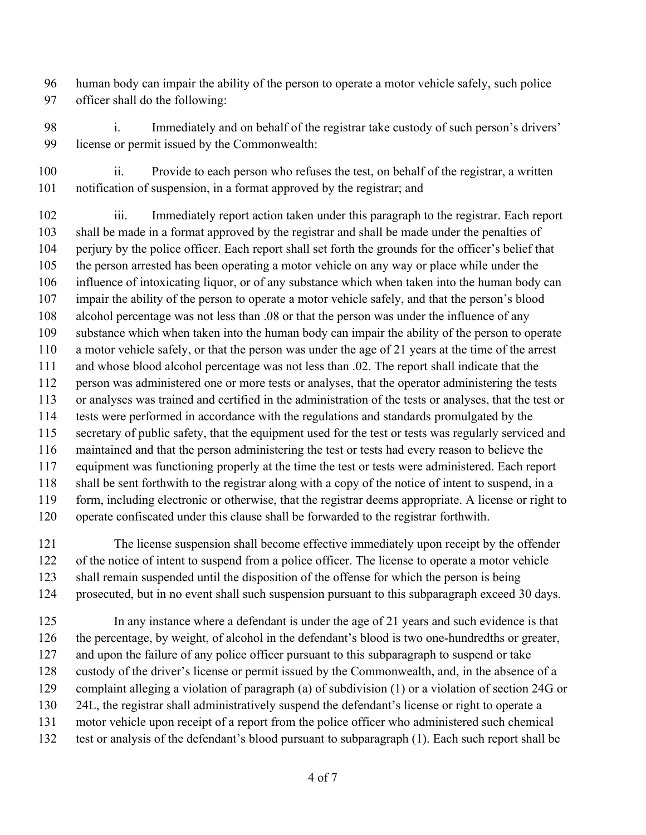human body can impair the ability of the person to operate a motor vehicle safely, such police officer shall do the following:

 i. Immediately and on behalf of the registrar take custody of such person's drivers' license or permit issued by the Commonwealth:

100 ii. Provide to each person who refuses the test, on behalf of the registrar, a written notification of suspension, in a format approved by the registrar; and

 iii. Immediately report action taken under this paragraph to the registrar. Each report shall be made in a format approved by the registrar and shall be made under the penalties of perjury by the police officer. Each report shall set forth the grounds for the officer's belief that the person arrested has been operating a motor vehicle on any way or place while under the influence of intoxicating liquor, or of any substance which when taken into the human body can impair the ability of the person to operate a motor vehicle safely, and that the person's blood alcohol percentage was not less than .08 or that the person was under the influence of any substance which when taken into the human body can impair the ability of the person to operate a motor vehicle safely, or that the person was under the age of 21 years at the time of the arrest and whose blood alcohol percentage was not less than .02. The report shall indicate that the person was administered one or more tests or analyses, that the operator administering the tests or analyses was trained and certified in the administration of the tests or analyses, that the test or tests were performed in accordance with the regulations and standards promulgated by the secretary of public safety, that the equipment used for the test or tests was regularly serviced and maintained and that the person administering the test or tests had every reason to believe the equipment was functioning properly at the time the test or tests were administered. Each report shall be sent forthwith to the registrar along with a copy of the notice of intent to suspend, in a form, including electronic or otherwise, that the registrar deems appropriate. A license or right to operate confiscated under this clause shall be forwarded to the registrar forthwith.

 The license suspension shall become effective immediately upon receipt by the offender of the notice of intent to suspend from a police officer. The license to operate a motor vehicle shall remain suspended until the disposition of the offense for which the person is being prosecuted, but in no event shall such suspension pursuant to this subparagraph exceed 30 days.

 In any instance where a defendant is under the age of 21 years and such evidence is that the percentage, by weight, of alcohol in the defendant's blood is two one-hundredths or greater, and upon the failure of any police officer pursuant to this subparagraph to suspend or take custody of the driver's license or permit issued by the Commonwealth, and, in the absence of a complaint alleging a violation of paragraph (a) of subdivision (1) or a violation of section 24G or 24L, the registrar shall administratively suspend the defendant's license or right to operate a motor vehicle upon receipt of a report from the police officer who administered such chemical test or analysis of the defendant's blood pursuant to subparagraph (1). Each such report shall be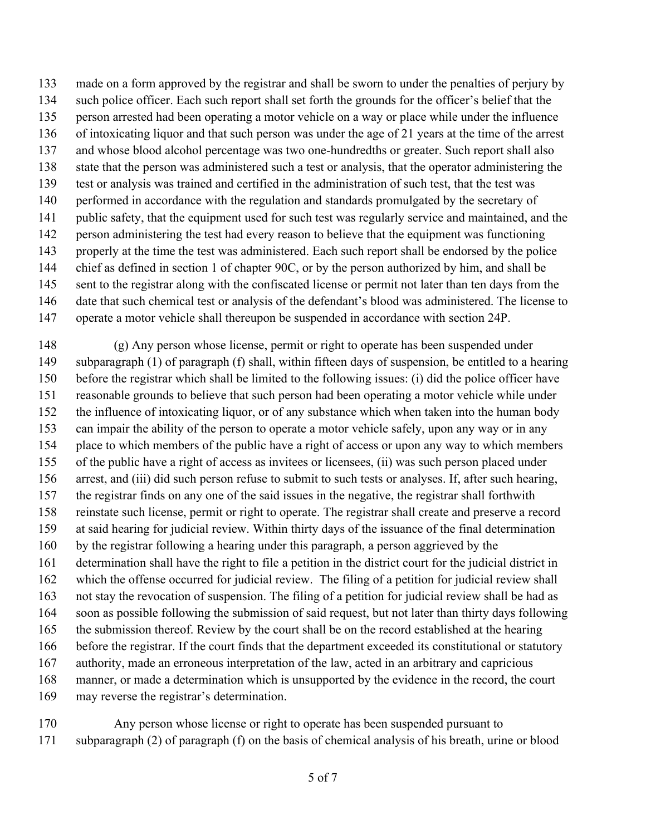made on a form approved by the registrar and shall be sworn to under the penalties of perjury by such police officer. Each such report shall set forth the grounds for the officer's belief that the person arrested had been operating a motor vehicle on a way or place while under the influence of intoxicating liquor and that such person was under the age of 21 years at the time of the arrest and whose blood alcohol percentage was two one-hundredths or greater. Such report shall also state that the person was administered such a test or analysis, that the operator administering the test or analysis was trained and certified in the administration of such test, that the test was 140 performed in accordance with the regulation and standards promulgated by the secretary of public safety, that the equipment used for such test was regularly service and maintained, and the person administering the test had every reason to believe that the equipment was functioning properly at the time the test was administered. Each such report shall be endorsed by the police chief as defined in section 1 of chapter 90C, or by the person authorized by him, and shall be sent to the registrar along with the confiscated license or permit not later than ten days from the date that such chemical test or analysis of the defendant's blood was administered. The license to operate a motor vehicle shall thereupon be suspended in accordance with section 24P.

 (g) Any person whose license, permit or right to operate has been suspended under subparagraph (1) of paragraph (f) shall, within fifteen days of suspension, be entitled to a hearing before the registrar which shall be limited to the following issues: (i) did the police officer have reasonable grounds to believe that such person had been operating a motor vehicle while under the influence of intoxicating liquor, or of any substance which when taken into the human body can impair the ability of the person to operate a motor vehicle safely, upon any way or in any place to which members of the public have a right of access or upon any way to which members of the public have a right of access as invitees or licensees, (ii) was such person placed under arrest, and (iii) did such person refuse to submit to such tests or analyses. If, after such hearing, the registrar finds on any one of the said issues in the negative, the registrar shall forthwith reinstate such license, permit or right to operate. The registrar shall create and preserve a record at said hearing for judicial review. Within thirty days of the issuance of the final determination by the registrar following a hearing under this paragraph, a person aggrieved by the determination shall have the right to file a petition in the district court for the judicial district in which the offense occurred for judicial review. The filing of a petition for judicial review shall not stay the revocation of suspension. The filing of a petition for judicial review shall be had as soon as possible following the submission of said request, but not later than thirty days following the submission thereof. Review by the court shall be on the record established at the hearing before the registrar. If the court finds that the department exceeded its constitutional or statutory authority, made an erroneous interpretation of the law, acted in an arbitrary and capricious manner, or made a determination which is unsupported by the evidence in the record, the court may reverse the registrar's determination.

 Any person whose license or right to operate has been suspended pursuant to subparagraph (2) of paragraph (f) on the basis of chemical analysis of his breath, urine or blood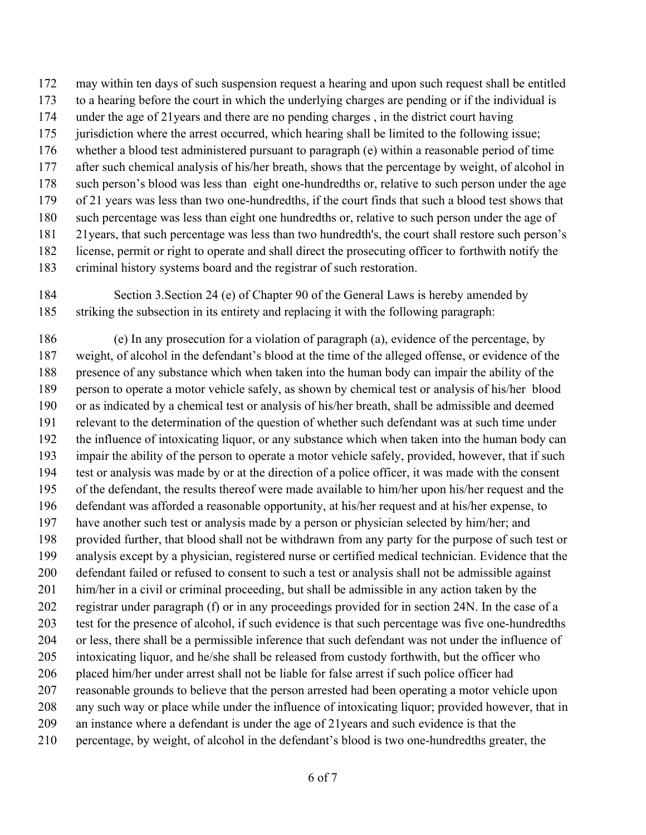may within ten days of such suspension request a hearing and upon such request shall be entitled

- to a hearing before the court in which the underlying charges are pending or if the individual is
- under the age of 21years and there are no pending charges , in the district court having
- jurisdiction where the arrest occurred, which hearing shall be limited to the following issue;
- whether a blood test administered pursuant to paragraph (e) within a reasonable period of time
- after such chemical analysis of his/her breath, shows that the percentage by weight, of alcohol in
- such person's blood was less than eight one-hundredths or, relative to such person under the age of 21 years was less than two one-hundredths, if the court finds that such a blood test shows that
- such percentage was less than eight one hundredths or, relative to such person under the age of
- 21years, that such percentage was less than two hundredth's, the court shall restore such person's
- license, permit or right to operate and shall direct the prosecuting officer to forthwith notify the
- criminal history systems board and the registrar of such restoration.
- Section 3.Section 24 (e) of Chapter 90 of the General Laws is hereby amended by striking the subsection in its entirety and replacing it with the following paragraph:

 (e) In any prosecution for a violation of paragraph (a), evidence of the percentage, by weight, of alcohol in the defendant's blood at the time of the alleged offense, or evidence of the presence of any substance which when taken into the human body can impair the ability of the person to operate a motor vehicle safely, as shown by chemical test or analysis of his/her blood or as indicated by a chemical test or analysis of his/her breath, shall be admissible and deemed relevant to the determination of the question of whether such defendant was at such time under the influence of intoxicating liquor, or any substance which when taken into the human body can impair the ability of the person to operate a motor vehicle safely, provided, however, that if such test or analysis was made by or at the direction of a police officer, it was made with the consent of the defendant, the results thereof were made available to him/her upon his/her request and the defendant was afforded a reasonable opportunity, at his/her request and at his/her expense, to have another such test or analysis made by a person or physician selected by him/her; and provided further, that blood shall not be withdrawn from any party for the purpose of such test or analysis except by a physician, registered nurse or certified medical technician. Evidence that the defendant failed or refused to consent to such a test or analysis shall not be admissible against him/her in a civil or criminal proceeding, but shall be admissible in any action taken by the registrar under paragraph (f) or in any proceedings provided for in section 24N. In the case of a test for the presence of alcohol, if such evidence is that such percentage was five one-hundredths or less, there shall be a permissible inference that such defendant was not under the influence of intoxicating liquor, and he/she shall be released from custody forthwith, but the officer who placed him/her under arrest shall not be liable for false arrest if such police officer had reasonable grounds to believe that the person arrested had been operating a motor vehicle upon any such way or place while under the influence of intoxicating liquor; provided however, that in an instance where a defendant is under the age of 21years and such evidence is that the percentage, by weight, of alcohol in the defendant's blood is two one-hundredths greater, the